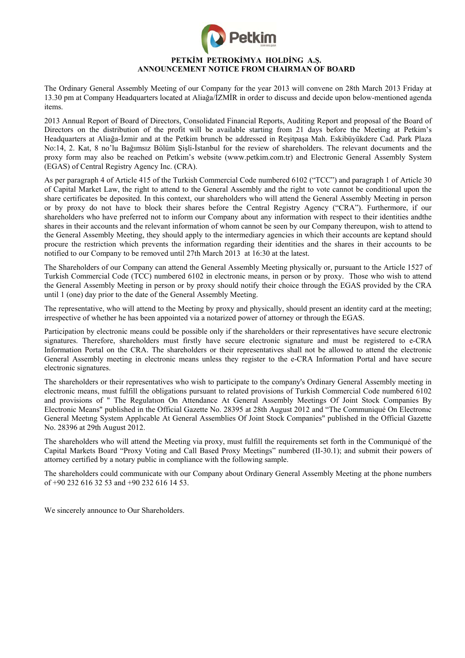

## **PETKİM PETROKİMYA HOLDİNG A.Ş. ANNOUNCEMENT NOTICE FROM CHAIRMAN OF BOARD**

The Ordinary General Assembly Meeting of our Company for the year 2013 will convene on 28th March 2013 Friday at 13.30 pm at Company Headquarters located at Aliağa/İZMİR in order to discuss and decide upon below-mentioned agenda items.

2013 Annual Report of Board of Directors, Consolidated Financial Reports, Auditing Report and proposal of the Board of Directors on the distribution of the profit will be available starting from 21 days before the Meeting at Petkim's Headquarters at Aliağa-İzmir and at the Petkim brunch be addressed in Reşitpaşa Mah. Eskibüyükdere Cad. Park Plaza No:14, 2. Kat, 8 no'lu Bağımsız Bölüm Şişli-İstanbul for the review of shareholders. The relevant documents and the proxy form may also be reached on Petkim's website (www.petkim.com.tr) and Electronic General Assembly System (EGAS) of Central Registry Agency Inc. (CRA).

As per paragraph 4 of Article 415 of the Turkish Commercial Code numbered 6102 ("TCC") and paragraph 1 of Article 30 of Capital Market Law, the right to attend to the General Assembly and the right to vote cannot be conditional upon the share certificates be deposited. In this context, our shareholders who will attend the General Assembly Meeting in person or by proxy do not have to block their shares before the Central Registry Agency ("CRA"). Furthermore, if our shareholders who have preferred not to inform our Company about any information with respect to their identities andthe shares in their accounts and the relevant information of whom cannot be seen by our Company thereupon, wish to attend to the General Assembly Meeting, they should apply to the intermediary agencies in which their accounts are keptand should procure the restriction which prevents the information regarding their identities and the shares in their accounts to be notified to our Company to be removed until 27th March 2013 at 16:30 at the latest.

The Shareholders of our Company can attend the General Assembly Meeting physically or, pursuant to the Article 1527 of Turkish Commercial Code (TCC) numbered 6102 in electronic means, in person or by proxy. Those who wish to attend the General Assembly Meeting in person or by proxy should notify their choice through the EGAS provided by the CRA until 1 (one) day prior to the date of the General Assembly Meeting.

The representative, who will attend to the Meeting by proxy and physically, should present an identity card at the meeting; irrespective of whether he has been appointed via a notarized power of attorney or through the EGAS.

Participation by electronic means could be possible only if the shareholders or their representatives have secure electronic signatures. Therefore, shareholders must firstly have secure electronic signature and must be registered to e-CRA Information Portal on the CRA. The shareholders or their representatives shall not be allowed to attend the electronic General Assembly meeting in electronic means unless they register to the e-CRA Information Portal and have secure electronic signatures.

The shareholders or their representatives who wish to participate to the company's Ordinary General Assembly meeting in electronic means, must fulfill the obligations pursuant to related provisions of Turkish Commercial Code numbered 6102 and provisions of " The Regulatıon On Attendance At General Assembly Meetings Of Joint Stock Companies By Electronic Means" published in the Official Gazette No. 28395 at 28th August 2012 and "The Communiqué On Electronıc General Meetıng System Applıcable At General Assemblies Of Joint Stock Companies" published in the Official Gazette No. 28396 at 29th August 2012.

The shareholders who will attend the Meeting via proxy, must fulfill the requirements set forth in the Communiqué of the Capital Markets Board "Proxy Voting and Call Based Proxy Meetings" numbered (II-30.1); and submit their powers of attorney certified by a notary public in compliance with the following sample.

The shareholders could communicate with our Company about Ordinary General Assembly Meeting at the phone numbers of +90 232 616 32 53 and +90 232 616 14 53.

We sincerely announce to Our Shareholders.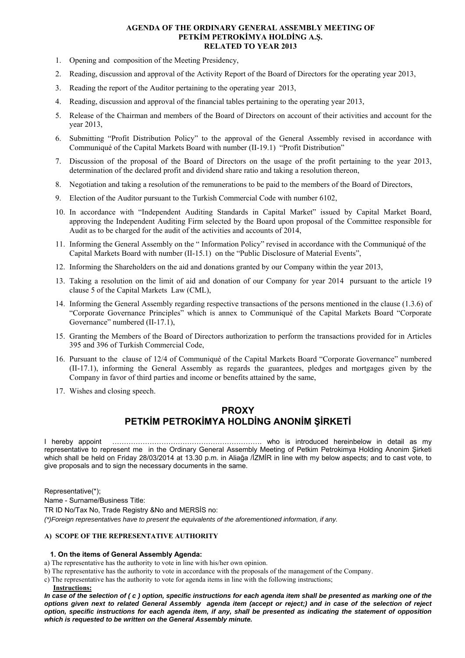### **AGENDA OF THE ORDINARY GENERAL ASSEMBLY MEETING OF PETKİM PETROKİMYA HOLDİNG A.Ş. RELATED TO YEAR 2013**

- 1. Opening and composition of the Meeting Presidency,
- 2. Reading, discussion and approval of the Activity Report of the Board of Directors for the operating year 2013,
- 3. Reading the report of the Auditor pertaining to the operating year 2013,
- 4. Reading, discussion and approval of the financial tables pertaining to the operating year 2013,
- 5. Release of the Chairman and members of the Board of Directors on account of their activities and account for the year 2013,
- 6. Submitting "Profit Distribution Policy" to the approval of the General Assembly revised in accordance with Communiqué of the Capital Markets Board with number (II-19.1) "Profit Distribution"
- 7. Discussion of the proposal of the Board of Directors on the usage of the profit pertaining to the year 2013, determination of the declared profit and dividend share ratio and taking a resolution thereon,
- 8. Negotiation and taking a resolution of the remunerations to be paid to the members of the Board of Directors,
- 9. Election of the Auditor pursuant to the Turkish Commercial Code with number 6102,
- 10. In accordance with "Independent Auditing Standards in Capital Market" issued by Capital Market Board, approving the Independent Auditing Firm selected by the Board upon proposal of the Committee responsible for Audit as to be charged for the audit of the activities and accounts of 2014,
- 11. Informing the General Assembly on the " Information Policy" revised in accordance with the Communiqué of the Capital Markets Board with number (II-15.1) on the "Public Disclosure of Material Events",
- 12. Informing the Shareholders on the aid and donations granted by our Company within the year 2013,
- 13. Taking a resolution on the limit of aid and donation of our Company for year 2014 pursuant to the article 19 clause 5 of the Capital Markets Law (CML),
- 14. Informing the General Assembly regarding respective transactions of the persons mentioned in the clause (1.3.6) of "Corporate Governance Principles" which is annex to Communiqué of the Capital Markets Board "Corporate Governance" numbered (II-17.1),
- 15. Granting the Members of the Board of Directors authorization to perform the transactions provided for in Articles 395 and 396 of Turkish Commercial Code,
- 16. Pursuant to the clause of 12/4 of Communiqué of the Capital Markets Board "Corporate Governance" numbered (II-17.1), informing the General Assembly as regards the guarantees, pledges and mortgages given by the Company in favor of third parties and income or benefits attained by the same,
- 17. Wishes and closing speech.

# **PROXY PETKİM PETROKİMYA HOLDİNG ANONİM ŞİRKETİ**

I hereby appoint ………………………………………………………. who is introduced hereinbelow in detail as my representative to represent me in the Ordinary General Assembly Meeting of Petkim Petrokimya Holding Anonim Şirketi which shall be held on Friday 28/03/2014 at 13.30 p.m. in Aliağa /İZMİR in line with my below aspects; and to cast vote, to give proposals and to sign the necessary documents in the same.

Representative(\*); Name - Surname/Business Title: TR ID No/Tax No, Trade Registry &No and MERSİS no: *(\*)Foreign representatives have to present the equivalents of the aforementioned information, if any.* 

### **A) SCOPE OF THE REPRESENTATIVE AUTHORITY**

#### **1. On the items of General Assembly Agenda:**

- a) The representative has the authority to vote in line with his/her own opinion.
- b) The representative has the authority to vote in accordance with the proposals of the management of the Company.
- c) The representative has the authority to vote for agenda items in line with the following instructions;
- **Instructions:**

*In case of the selection of ( c ) option, specific instructions for each agenda item shall be presented as marking one of the options given next to related General Assembly agenda item (accept or reject;) and in case of the selection of reject option, specific instructions for each agenda item, if any, shall be presented as indicating the statement of opposition which is requested to be written on the General Assembly minute.*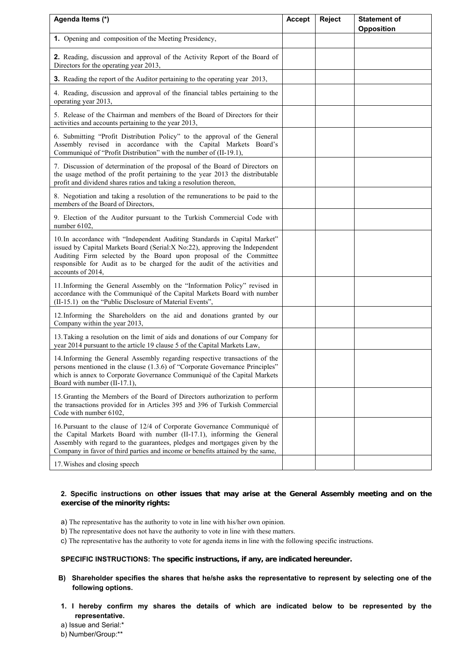| Agenda Items (*)                                                                                                                                                                                                                                                                                                                    | <b>Accept</b> | <b>Reject</b> | <b>Statement of</b><br><b>Opposition</b> |
|-------------------------------------------------------------------------------------------------------------------------------------------------------------------------------------------------------------------------------------------------------------------------------------------------------------------------------------|---------------|---------------|------------------------------------------|
| 1. Opening and composition of the Meeting Presidency,                                                                                                                                                                                                                                                                               |               |               |                                          |
| 2. Reading, discussion and approval of the Activity Report of the Board of<br>Directors for the operating year 2013,                                                                                                                                                                                                                |               |               |                                          |
| 3. Reading the report of the Auditor pertaining to the operating year 2013,                                                                                                                                                                                                                                                         |               |               |                                          |
| 4. Reading, discussion and approval of the financial tables pertaining to the<br>operating year 2013,                                                                                                                                                                                                                               |               |               |                                          |
| 5. Release of the Chairman and members of the Board of Directors for their<br>activities and accounts pertaining to the year 2013,                                                                                                                                                                                                  |               |               |                                          |
| 6. Submitting "Profit Distribution Policy" to the approval of the General<br>Assembly revised in accordance with the Capital Markets Board's<br>Communiqué of "Profit Distribution" with the number of (II-19.1),                                                                                                                   |               |               |                                          |
| 7. Discussion of determination of the proposal of the Board of Directors on<br>the usage method of the profit pertaining to the year 2013 the distributable<br>profit and dividend shares ratios and taking a resolution thereon,                                                                                                   |               |               |                                          |
| 8. Negotiation and taking a resolution of the remunerations to be paid to the<br>members of the Board of Directors,                                                                                                                                                                                                                 |               |               |                                          |
| 9. Election of the Auditor pursuant to the Turkish Commercial Code with<br>number 6102.                                                                                                                                                                                                                                             |               |               |                                          |
| 10. In accordance with "Independent Auditing Standards in Capital Market"<br>issued by Capital Markets Board (Serial: X No: 22), approving the Independent<br>Auditing Firm selected by the Board upon proposal of the Committee<br>responsible for Audit as to be charged for the audit of the activities and<br>accounts of 2014, |               |               |                                          |
| 11. Informing the General Assembly on the "Information Policy" revised in<br>accordance with the Communiqué of the Capital Markets Board with number<br>(II-15.1) on the "Public Disclosure of Material Events",                                                                                                                    |               |               |                                          |
| 12. Informing the Shareholders on the aid and donations granted by our<br>Company within the year 2013,                                                                                                                                                                                                                             |               |               |                                          |
| 13. Taking a resolution on the limit of aids and donations of our Company for<br>year 2014 pursuant to the article 19 clause 5 of the Capital Markets Law,                                                                                                                                                                          |               |               |                                          |
| 14. Informing the General Assembly regarding respective transactions of the<br>persons mentioned in the clause (1.3.6) of "Corporate Governance Principles"<br>which is annex to Corporate Governance Communiqué of the Capital Markets<br>Board with number (II-17.1),                                                             |               |               |                                          |
| 15. Granting the Members of the Board of Directors authorization to perform<br>the transactions provided for in Articles 395 and 396 of Turkish Commercial<br>Code with number 6102,                                                                                                                                                |               |               |                                          |
| 16. Pursuant to the clause of 12/4 of Corporate Governance Communiqué of<br>the Capital Markets Board with number (II-17.1), informing the General<br>Assembly with regard to the guarantees, pledges and mortgages given by the<br>Company in favor of third parties and income or benefits attained by the same,                  |               |               |                                          |
| 17. Wishes and closing speech                                                                                                                                                                                                                                                                                                       |               |               |                                          |

#### **2. Specific instructions on other issues that may arise at the General Assembly meeting and on the exercise of the minority rights:**

- a) The representative has the authority to vote in line with his/her own opinion.
- b) The representative does not have the authority to vote in line with these matters.
- c) The representative has the authority to vote for agenda items in line with the following specific instructions.

## **SPECIFIC INSTRUCTIONS: The specific instructions, if any, are indicated hereunder.**

- **B) Shareholder specifies the shares that he/she asks the representative to represent by selecting one of the following options.**
- **1. I hereby confirm my shares the details of which are indicated below to be represented by the representative.**
- a) Issue and Serial:\*

b) Number/Group:\*\*